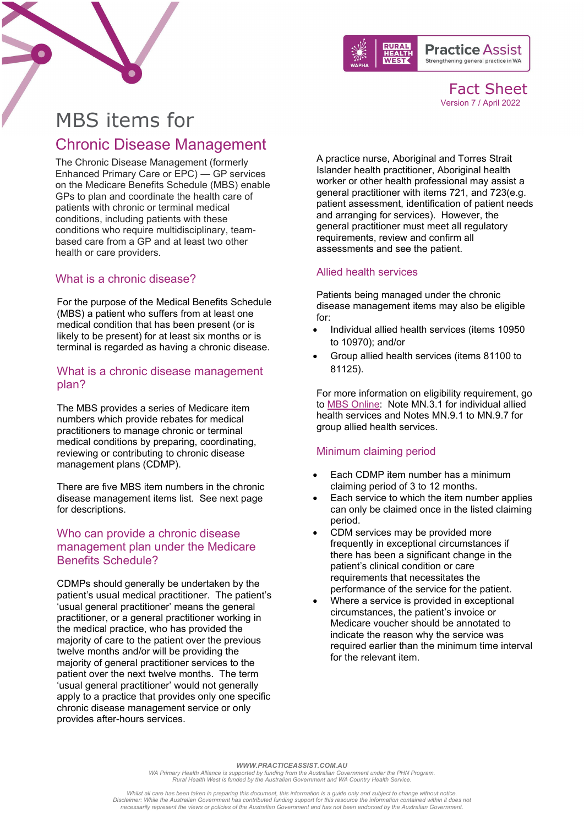



Fact Sheet Version 7 / April 2022

# MBS items for Chronic Disease Management

The Chronic Disease Management (formerly Enhanced Primary Care or EPC) — GP services on the Medicare Benefits Schedule (MBS) enable GPs to plan and coordinate the health care of patients with chronic or terminal medical conditions, including patients with these conditions who require multidisciplinary, teambased care from a GP and at least two other health or care providers.

## What is a chronic disease?

For the purpose of the Medical Benefits Schedule (MBS) a patient who suffers from at least one medical condition that has been present (or is likely to be present) for at least six months or is terminal is regarded as having a chronic disease.

## What is a chronic disease management plan?

The MBS provides a series of Medicare item numbers which provide rebates for medical practitioners to manage chronic or terminal medical conditions by preparing, coordinating, reviewing or contributing to chronic disease management plans (CDMP).

There are five MBS item numbers in the chronic disease management items list. See next page for descriptions.

## Who can provide a chronic disease management plan under the Medicare Benefits Schedule?

CDMPs should generally be undertaken by the patient's usual medical practitioner. The patient's 'usual general practitioner' means the general practitioner, or a general practitioner working in the medical practice, who has provided the majority of care to the patient over the previous twelve months and/or will be providing the majority of general practitioner services to the patient over the next twelve months. The term 'usual general practitioner' would not generally apply to a practice that provides only one specific chronic disease management service or only provides after-hours services.

A practice nurse, Aboriginal and Torres Strait Islander health practitioner, Aboriginal health worker or other health professional may assist a general practitioner with items 721, and 723(e.g. patient assessment, identification of patient needs and arranging for services). However, the general practitioner must meet all regulatory requirements, review and confirm all assessments and see the patient.

#### Allied health services

Patients being managed under the chronic disease management items may also be eligible for:

- Individual allied health services (items 10950 to 10970); and/or
- Group allied health services (items 81100 to 81125).

For more information on eligibility requirement, go to [MBS Online:](http://www.mbsonline.gov.au/internet/mbsonline/publishing.nsf/Content/Home) Note MN.3.1 for individual allied health services and Notes MN.9.1 to MN.9.7 for group allied health services.

## Minimum claiming period

- Each CDMP item number has a minimum claiming period of 3 to 12 months.
- Each service to which the item number applies can only be claimed once in the listed claiming period.
- CDM services may be provided more frequently in exceptional circumstances if there has been a significant change in the patient's clinical condition or care requirements that necessitates the performance of the service for the patient.
- Where a service is provided in exceptional circumstances, the patient's invoice or Medicare voucher should be annotated to indicate the reason why the service was required earlier than the minimum time interval for the relevant item.

*WWW.PRACTICEASSIST.COM.AU*

*WA Primary Health Alliance is supported by funding from the Australian Government under the PHN Program. Rural Health West is funded by the Australian Government and WA Country Health Service.*